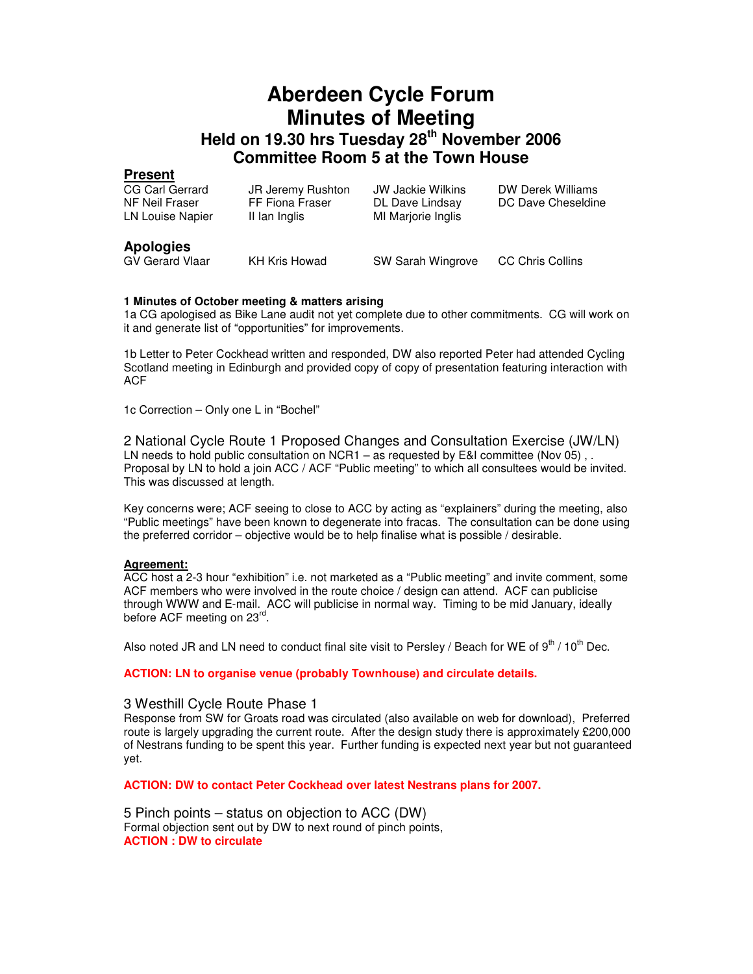# **Aberdeen Cycle Forum Minutes of Meeting Held on 19.30 hrs Tuesday 28th November 2006 Committee Room 5 at the Town House**

# **Present**

| CG Carl Gerrard<br>NF Neil Fraser<br>LN Louise Napier | JR Jeremy Rushton<br>FF Fiona Fraser<br>II lan Inglis | JW Jackie Wilkins<br>DL Dave Lindsay<br>MI Marjorie Inglis | DW Derek Williams<br>DC Dave Cheseldine |
|-------------------------------------------------------|-------------------------------------------------------|------------------------------------------------------------|-----------------------------------------|
| <b>Apologies</b><br><b>GV Gerard Vlaar</b>            | KH Kris Howad                                         | SW Sarah Wingrove                                          | <b>CC Chris Collins</b>                 |

## **1 Minutes of October meeting & matters arising**

1a CG apologised as Bike Lane audit not yet complete due to other commitments. CG will work on it and generate list of "opportunities" for improvements.

1b Letter to Peter Cockhead written and responded, DW also reported Peter had attended Cycling Scotland meeting in Edinburgh and provided copy of copy of presentation featuring interaction with ACF

1c Correction – Only one L in "Bochel"

2 National Cycle Route 1 Proposed Changes and Consultation Exercise (JW/LN) LN needs to hold public consultation on NCR1 – as requested by E&I committee (Nov 05), . Proposal by LN to hold a join ACC / ACF "Public meeting" to which all consultees would be invited. This was discussed at length.

Key concerns were; ACF seeing to close to ACC by acting as "explainers" during the meeting, also "Public meetings" have been known to degenerate into fracas. The consultation can be done using the preferred corridor – objective would be to help finalise what is possible / desirable.

#### **Agreement:**

ACC host a 2-3 hour "exhibition" i.e. not marketed as a "Public meeting" and invite comment, some ACF members who were involved in the route choice / design can attend. ACF can publicise through WWW and E-mail. ACC will publicise in normal way. Timing to be mid January, ideally before ACF meeting on 23<sup>rd</sup>.

Also noted JR and LN need to conduct final site visit to Persley / Beach for WE of  $9<sup>th</sup>$  /  $10<sup>th</sup>$  Dec.

**ACTION: LN to organise venue (probably Townhouse) and circulate details.** 

#### 3 Westhill Cycle Route Phase 1

Response from SW for Groats road was circulated (also available on web for download), Preferred route is largely upgrading the current route. After the design study there is approximately £200,000 of Nestrans funding to be spent this year. Further funding is expected next year but not guaranteed yet.

**ACTION: DW to contact Peter Cockhead over latest Nestrans plans for 2007.** 

5 Pinch points – status on objection to ACC (DW) Formal objection sent out by DW to next round of pinch points, **ACTION : DW to circulate**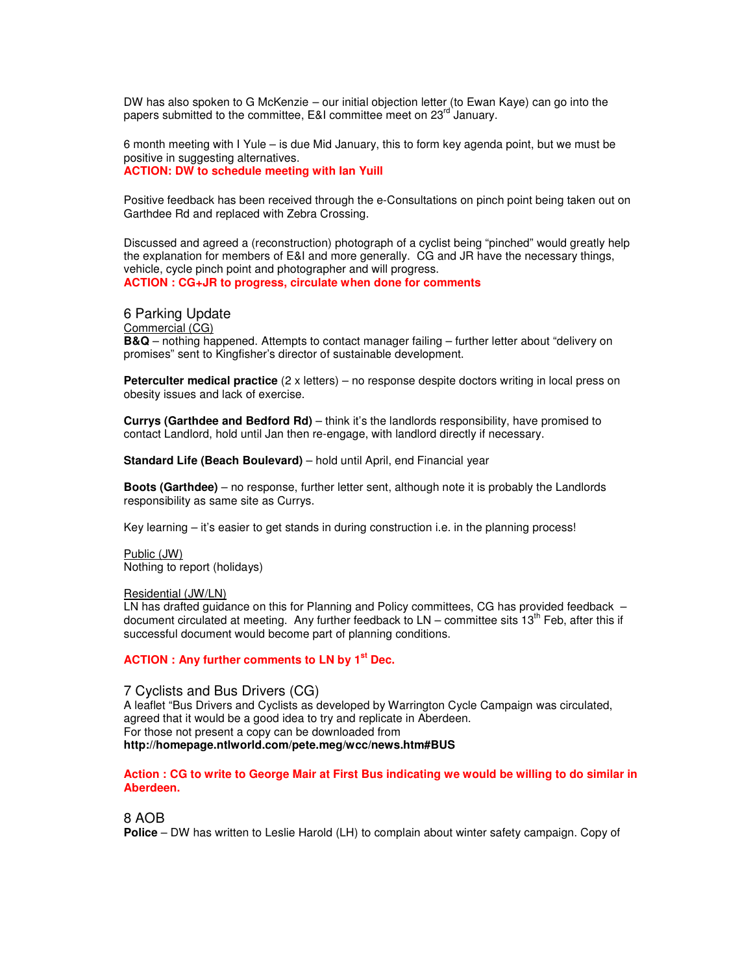DW has also spoken to G McKenzie – our initial objection letter (to Ewan Kaye) can go into the papers submitted to the committee, E&I committee meet on 23<sup>rd</sup> January.

6 month meeting with I Yule – is due Mid January, this to form key agenda point, but we must be positive in suggesting alternatives. **ACTION: DW to schedule meeting with Ian Yuill** 

Positive feedback has been received through the e-Consultations on pinch point being taken out on Garthdee Rd and replaced with Zebra Crossing.

Discussed and agreed a (reconstruction) photograph of a cyclist being "pinched" would greatly help the explanation for members of E&I and more generally. CG and JR have the necessary things, vehicle, cycle pinch point and photographer and will progress. **ACTION : CG+JR to progress, circulate when done for comments**

6 Parking Update Commercial (CG) **B&Q** – nothing happened. Attempts to contact manager failing – further letter about "delivery on promises" sent to Kingfisher's director of sustainable development.

**Peterculter medical practice** (2 x letters) – no response despite doctors writing in local press on obesity issues and lack of exercise.

**Currys (Garthdee and Bedford Rd)** – think it's the landlords responsibility, have promised to contact Landlord, hold until Jan then re-engage, with landlord directly if necessary.

**Standard Life (Beach Boulevard)** – hold until April, end Financial year

**Boots (Garthdee)** – no response, further letter sent, although note it is probably the Landlords responsibility as same site as Currys.

Key learning – it's easier to get stands in during construction i.e. in the planning process!

Public (JW) Nothing to report (holidays)

Residential (JW/LN)

LN has drafted guidance on this for Planning and Policy committees, CG has provided feedback – document circulated at meeting. Any further feedback to  $LN -$  committee sits 13<sup>th</sup> Feb, after this if successful document would become part of planning conditions.

## **ACTION : Any further comments to LN by 1st Dec.**

7 Cyclists and Bus Drivers (CG) A leaflet "Bus Drivers and Cyclists as developed by Warrington Cycle Campaign was circulated, agreed that it would be a good idea to try and replicate in Aberdeen. For those not present a copy can be downloaded from **http://homepage.ntlworld.com/pete.meg/wcc/news.htm#BUS**

**Action : CG to write to George Mair at First Bus indicating we would be willing to do similar in Aberdeen.**

8 AOB

**Police** – DW has written to Leslie Harold (LH) to complain about winter safety campaign. Copy of